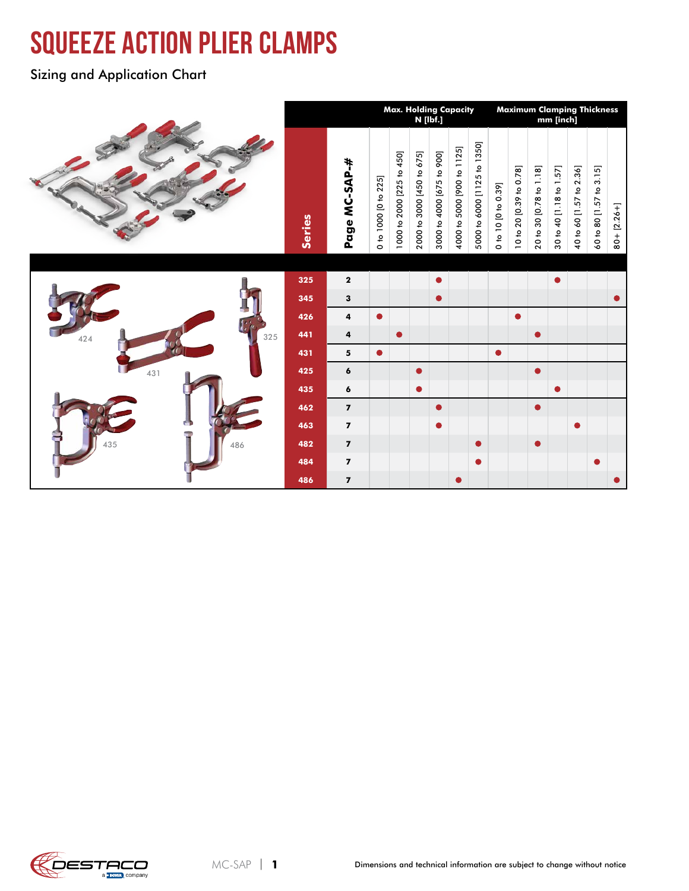# squeeze action plier clamps

Sizing and Application Chart

|            |               |                         |                      | Max. Holding Capacity<br>N [lbf.] |                           |                           |                            |                             |                     |                         |                         | mm [inch]               | <b>Maximum Clamping Thickness</b> |                         |                 |
|------------|---------------|-------------------------|----------------------|-----------------------------------|---------------------------|---------------------------|----------------------------|-----------------------------|---------------------|-------------------------|-------------------------|-------------------------|-----------------------------------|-------------------------|-----------------|
|            | <b>Series</b> | Page MC-SAP-#           | 0 to 1000 [0 to 225] | 1000 to 2000 [225 to 450]         | 2000 to 3000 [450 to 675] | 3000 to 4000 [675 to 900] | 4000 to 5000 [900 to 1125] | 5000 to 6000 [1125 to 1350] | 0 to 10 [0 to 0.39] | 10 to 20 [0.39 to 0.78] | 20 to 30 [0.78 to 1.18] | 30 to 40 [1.18 to 1.57] | 40 to 60 [1.57 to 2.36]           | 60 to 80 [1.57 to 3.15] | $80 + [2.26 +]$ |
|            |               |                         |                      |                                   |                           |                           |                            |                             |                     |                         |                         |                         |                                   |                         |                 |
|            | 325           | $\mathbf{2}$            |                      |                                   |                           |                           |                            |                             |                     |                         |                         |                         |                                   |                         |                 |
|            | 345           | 3                       |                      |                                   |                           | $\bullet$                 |                            |                             |                     |                         |                         |                         |                                   |                         |                 |
|            | 426           | 4                       |                      |                                   |                           |                           |                            |                             |                     | ●                       |                         |                         |                                   |                         |                 |
| 325<br>424 | 441           | $\overline{\mathbf{4}}$ |                      | $\bullet$                         |                           |                           |                            |                             |                     |                         | $\bullet$               |                         |                                   |                         |                 |
|            | 431           | 5                       | $\bullet$            |                                   |                           |                           |                            |                             | $\bullet$           |                         |                         |                         |                                   |                         |                 |
| 431        | 425           | 6                       |                      |                                   | $\bullet$                 |                           |                            |                             |                     |                         | $\bullet$               |                         |                                   |                         |                 |
|            | 435           | 6                       |                      |                                   | $\bullet$                 |                           |                            |                             |                     |                         |                         | $\bullet$               |                                   |                         |                 |
|            | 462           | $\pmb{7}$               |                      |                                   |                           | $\bullet$                 |                            |                             |                     |                         | $\bullet$               |                         |                                   |                         |                 |
| G          | 463           | $\boldsymbol{7}$        |                      |                                   |                           | $\bullet$                 |                            |                             |                     |                         |                         |                         | $\bullet$                         |                         |                 |
| 435<br>486 | 482           | $\overline{\mathbf{z}}$ |                      |                                   |                           |                           |                            | $\bullet$                   |                     |                         | $\bullet$               |                         |                                   |                         |                 |
|            | 484           | $\overline{\mathbf{z}}$ |                      |                                   |                           |                           |                            | $\bullet$                   |                     |                         |                         |                         |                                   |                         |                 |
|            | 486           | $\overline{7}$          |                      |                                   |                           |                           |                            |                             |                     |                         |                         |                         |                                   |                         |                 |

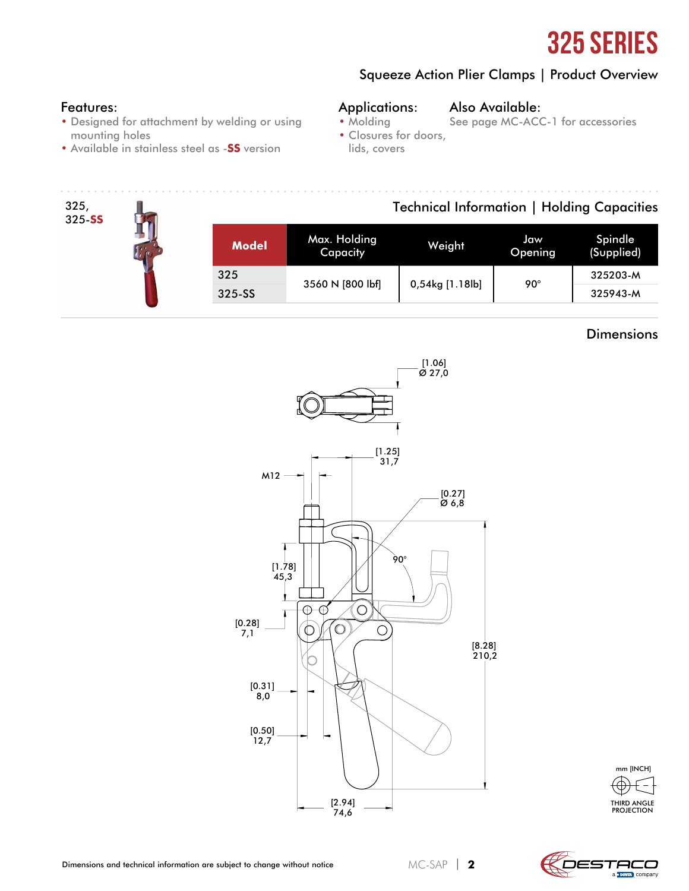

### Squeeze Action Plier Clamps | Product Overview

#### Features:

- Designed for attachment by welding or using mounting holes
- Available in stainless steel as -**SS** version

#### Applications: • Molding Also Available:

See page MC-ACC-1 for accessories

- Closures for doors,
	- lids, covers

#### 325, Technical Information | Holding Capacities 325-**SS** Model Max. Holding Weight Jaw<br>Capacity Weight Openir Opening Spindle (Supplied) 325 3560 N [800 lbf] 0,54kg [1.18lb] 90° 325203-M 325-SS 325943-M

#### **Dimensions**



THIRD ANGLE PROJECTION mm [INCH]



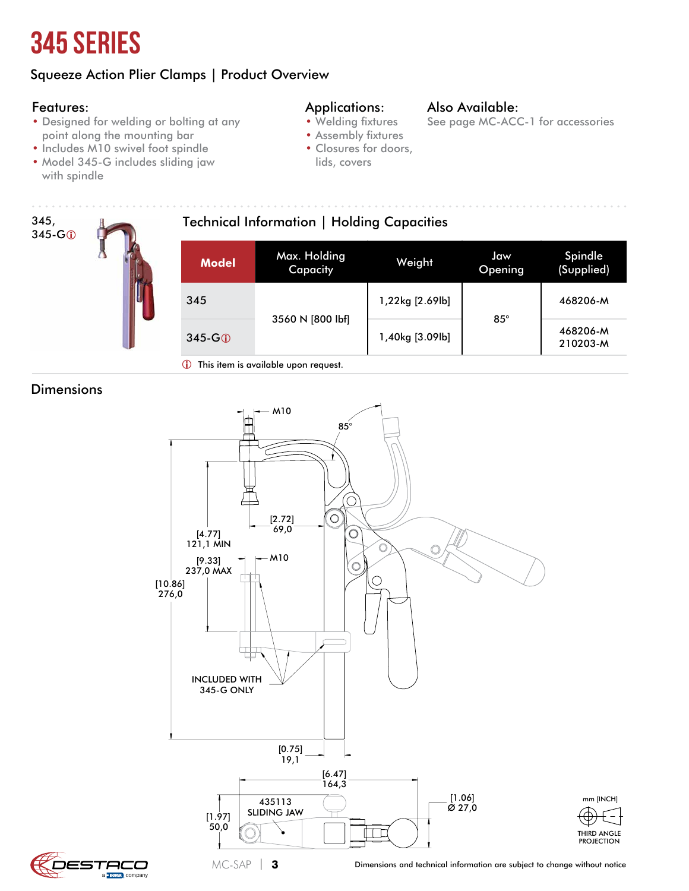## 345 Series

## Squeeze Action Plier Clamps | Product Overview

#### Features:

- Designed for welding or bolting at any point along the mounting bar
- Includes M10 swivel foot spindle
- Model 345-G includes sliding jaw with spindle

#### Applications:

- Welding fixtures
- Assembly fixtures
- lids, covers

#### Also Available:

See page MC-ACC-1 for accessories

- Closures for doors,
- 345, 345-G<sub>0</sub> Technical Information | Holding Capacities **Model** Max. Holding Capacity Weight Jaw **Opening** Spindle (Supplied) 345 3560 N [800 lbf] 1,22kg [2.69lb] 85° 468206-M  $345-G$  1,40kg [3.09lb]  $\begin{array}{|c|c|c|c|c|c|c|c|}\n\hline\n & 345-G\hline\n & & 468206-M\n\end{array}$ 210203-M This item is available upon request.

### **Dimensions**



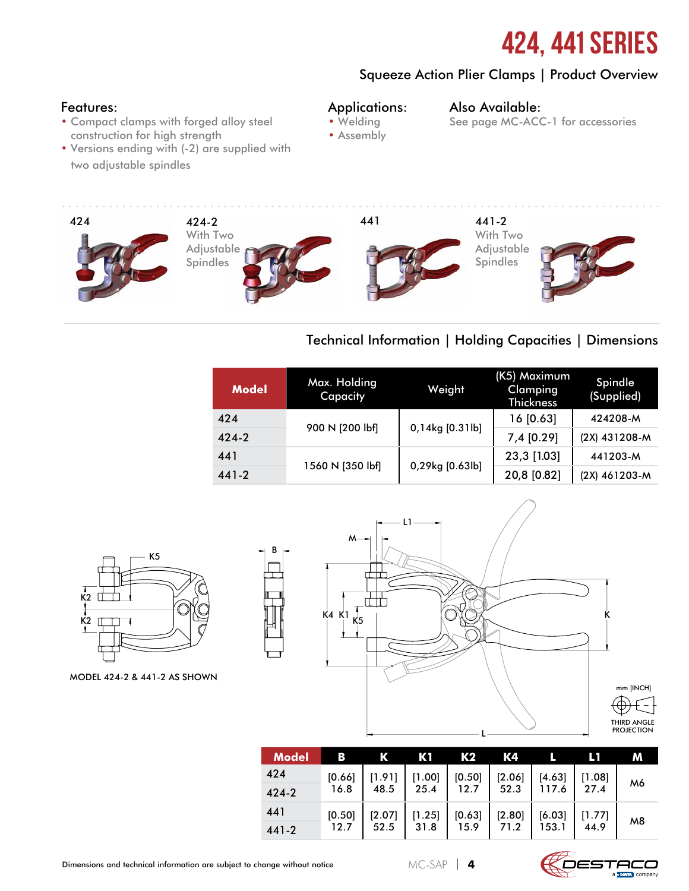## 424, 441 Series

### Squeeze Action Plier Clamps | Product Overview

#### Features:

- Compact clamps with forged alloy steel construction for high strength
- Versions ending with (-2) are supplied with two adjustable spindles

#### Applications: • Welding

#### Also Available:

- 
- Assembly
- See page MC-ACC-1 for accessories



## Technical Information | Holding Capacities | Dimensions

| <b>Model</b> | Max. Holding<br>Capacity | Weight          | (K5) Maximum<br><b>Clamping</b><br><b>Thickness</b> | Spindle<br>(Supplied) |  |  |
|--------------|--------------------------|-----------------|-----------------------------------------------------|-----------------------|--|--|
| 424          | 900 N [200 lbf]          |                 | 16 [0.63]                                           | 424208-M              |  |  |
| $424 - 2$    |                          | 0,14kg [0.31lb] | 7,4 [0.29]                                          | (2X) 431208-M         |  |  |
| 441          |                          |                 | 23,3 [1.03]                                         | 441203-M              |  |  |
| $441 - 2$    | 1560 N [350 lbf]         | 0,29kg [0.63lb] | 20,8 [0.82]                                         | (2X) 461203-M         |  |  |



MODEL 424-2 & 441-2 AS SHOWN



| <b>Model</b> | в             | К                           | Kſ                                          | K2                                            | К4               |                   |                                                           | м              |
|--------------|---------------|-----------------------------|---------------------------------------------|-----------------------------------------------|------------------|-------------------|-----------------------------------------------------------|----------------|
| 424          | $[0.66]$ 16.8 | <sup>1</sup> [1.91]<br>48.5 | $\begin{bmatrix} 1.00 \ 25.4 \end{bmatrix}$ | $\begin{array}{c} [0.50] \\ 12.7 \end{array}$ | $[2.06]$<br>52.3 | $[4.63]$<br>117.6 | [1.08]                                                    | M6             |
| 424-2        |               |                             |                                             |                                               |                  |                   | 27.4                                                      |                |
| 441          |               | [2.07]                      | [1.25]                                      | [0.63]                                        |                  | [6.03]            |                                                           |                |
| 441-2        | $[0.50]$ 12.7 | 52.5                        | 31.8                                        | 15.9                                          | $[2.80]$<br>71.2 | 153.1             | $\begin{array}{c} \left[ 1.77\right] \\ 44.9 \end{array}$ | M <sub>8</sub> |

B

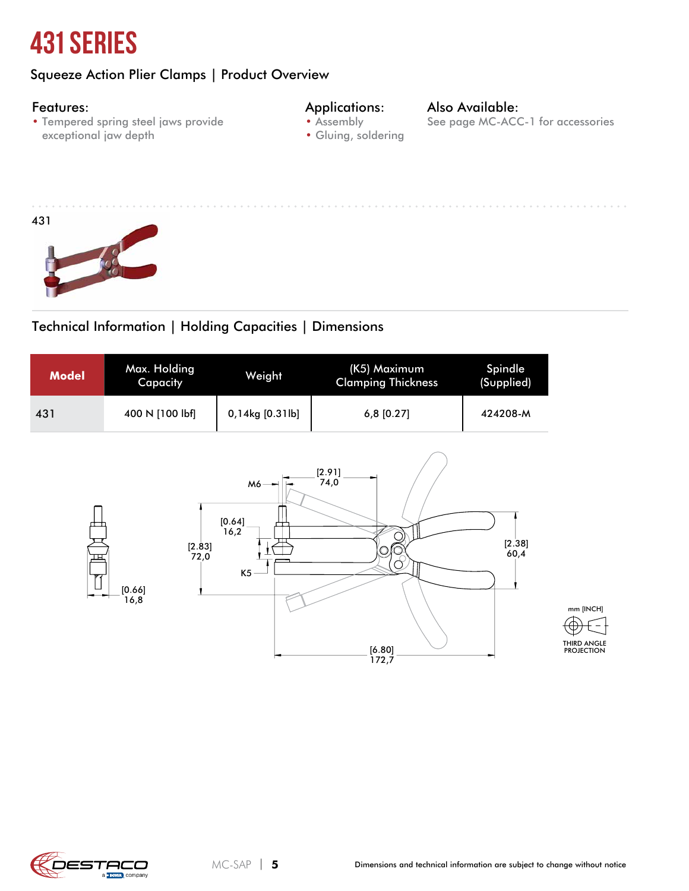## 431 Series

## Squeeze Action Plier Clamps | Product Overview

#### Features:

• Tempered spring steel jaws provide exceptional jaw depth

#### Applications: • Assembly

## Also Available:

See page MC-ACC-1 for accessories

- Gluing, soldering
- 



## Technical Information | Holding Capacities | Dimensions

| <b>Model</b> | Max. Holding<br>Capacity | Weight          | (K5) Maximum<br><b>Clamping Thickness</b> | Spindle<br>(Supplied) |
|--------------|--------------------------|-----------------|-------------------------------------------|-----------------------|
| 431          | 400 N [100 lbf]          | 0,14kg [0.31lb] | $6,8$ [0.27]                              | 424208-M              |



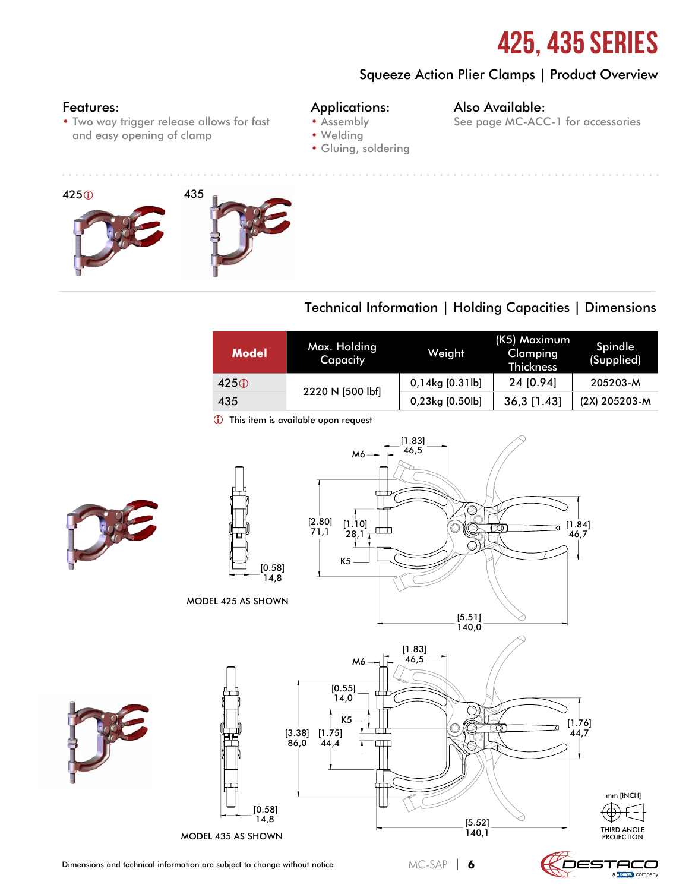## 425, 435 Series

### Squeeze Action Plier Clamps | Product Overview

#### Features:

• Two way trigger release allows for fast and easy opening of clamp

#### Applications:

• Assembly

#### Also Available:

- See page MC-ACC-1 for accessories
- Welding
- Gluing, soldering



### Technical Information | Holding Capacities | Dimensions

| <b>Model</b> | Max. Holding<br>Capacity | Weight          | (K5) Maximum<br>Clamping<br><b>Thickness</b> | Spindle<br>(Supplied) |  |  |
|--------------|--------------------------|-----------------|----------------------------------------------|-----------------------|--|--|
| 425          |                          | 0,14kg [0.31lb] | 24 [0.94]                                    | 205203-M              |  |  |
| 435          | 2220 N [500 lbf]         | 0,23kg [0.50lb] | $36,3$ [1.43]                                | (2X) 205203-M         |  |  |

This item is available upon request



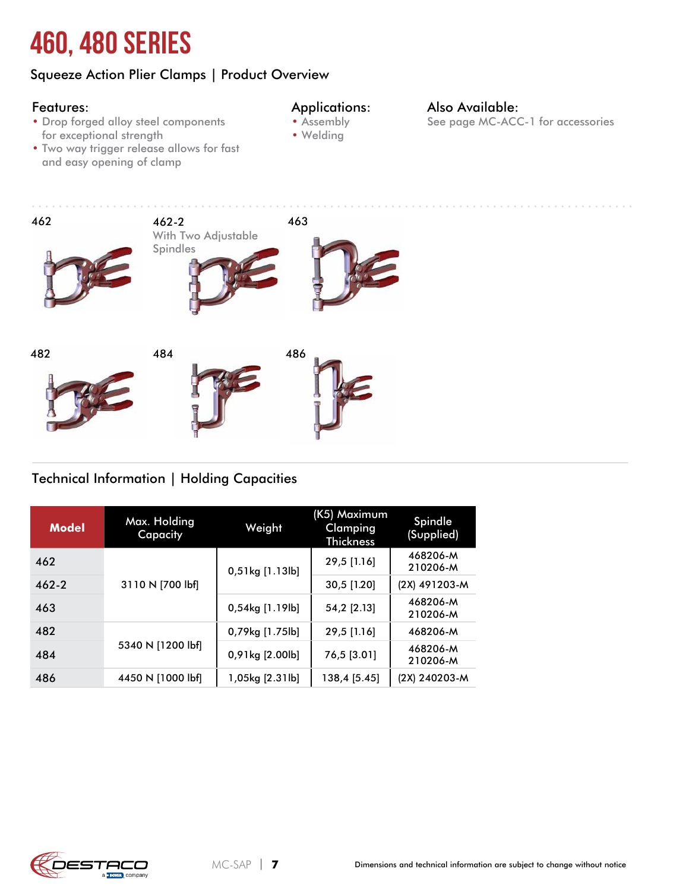# 460, 480 Series

## Squeeze Action Plier Clamps | Product Overview

#### Features:

#### Applications:

- Drop forged alloy steel components for exceptional strength
- Two way trigger release allows for fast and easy opening of clamp
- Assembly • Welding
- Also Available: See page MC-ACC-1 for accessories



## Technical Information | Holding Capacities

| <b>Model</b> | Max. Holding<br>Capacity | Weight             | (K5) Maximum<br>Clamping<br>Thickness | Spindle<br>(Supplied) |  |
|--------------|--------------------------|--------------------|---------------------------------------|-----------------------|--|
| 462          |                          | 0,51kg [1.13lb]    | 29,5 [1.16]                           | 468206-M<br>210206-M  |  |
| $462 - 2$    | 3110 N [700 lbf]         |                    | 30,5 [1.20]                           | (2X) 491203-M         |  |
| 463          |                          | 0,54kg [1.19lb]    | 54,2 [2.13]                           | 468206-M<br>210206-M  |  |
| 482          |                          | 0,79kg [1.75lb]    | 29,5 [1.16]                           | 468206-M              |  |
| 484          | 5340 N [1200 lbf]        | $0,91$ kg $[2.00]$ | 76,5 [3.01]                           | 468206-M<br>210206-M  |  |
| 486          | 4450 N [1000 lbf]        | 1,05kg [2.31lb]    | 138,4 [5.45]                          | (2X) 240203-M         |  |